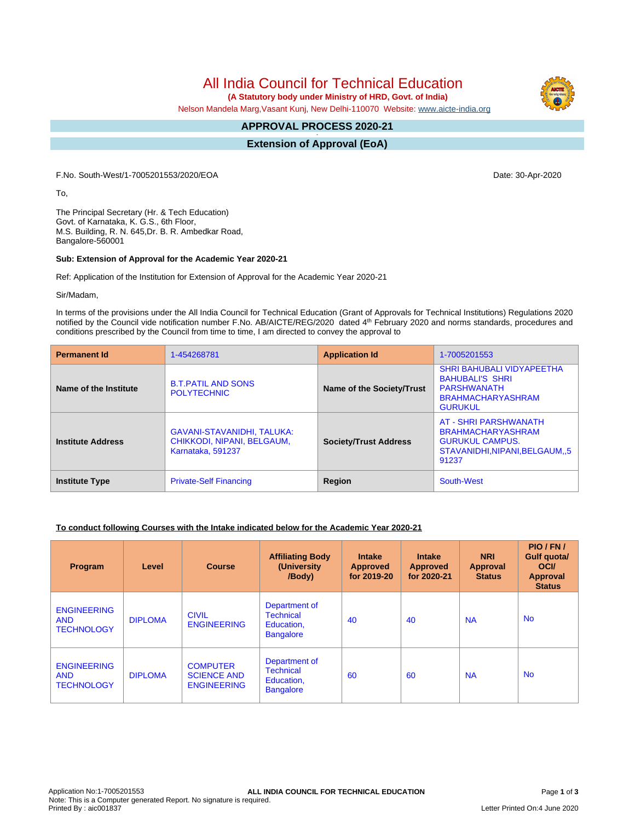# All India Council for Technical Education

 **(A Statutory body under Ministry of HRD, Govt. of India)**

Nelson Mandela Marg,Vasant Kunj, New Delhi-110070 Website: [www.aicte-india.org](http://www.aicte-india.org)

#### **APPROVAL PROCESS 2020-21 -**

**Extension of Approval (EoA)**

F.No. South-West/1-7005201553/2020/EOA Date: 30-Apr-2020

To,

The Principal Secretary (Hr. & Tech Education) Govt. of Karnataka, K. G.S., 6th Floor, M.S. Building, R. N. 645,Dr. B. R. Ambedkar Road, Bangalore-560001

#### **Sub: Extension of Approval for the Academic Year 2020-21**

Ref: Application of the Institution for Extension of Approval for the Academic Year 2020-21

Sir/Madam,

In terms of the provisions under the All India Council for Technical Education (Grant of Approvals for Technical Institutions) Regulations 2020 notified by the Council vide notification number F.No. AB/AICTE/REG/2020 dated 4<sup>th</sup> February 2020 and norms standards, procedures and conditions prescribed by the Council from time to time, I am directed to convey the approval to

| <b>Permanent Id</b>      | 1-454268781                                                                          | <b>Application Id</b>        | 1-7005201553                                                                                                            |  |
|--------------------------|--------------------------------------------------------------------------------------|------------------------------|-------------------------------------------------------------------------------------------------------------------------|--|
| Name of the Institute    | <b>B.T.PATIL AND SONS</b><br><b>POLYTECHNIC</b>                                      | Name of the Society/Trust    | <b>SHRI BAHUBALI VIDYAPEETHA</b><br><b>BAHUBALI'S SHRI</b><br>PARSHWANATH<br><b>BRAHMACHARYASHRAM</b><br><b>GURUKUL</b> |  |
| <b>Institute Address</b> | <b>GAVANI-STAVANIDHI, TALUKA:</b><br>CHIKKODI, NIPANI, BELGAUM.<br>Karnataka, 591237 | <b>Society/Trust Address</b> | AT - SHRI PARSHWANATH<br><b>BRAHMACHARYASHRAM</b><br><b>GURUKUL CAMPUS.</b><br>STAVANIDHI, NIPANI, BELGAUM, 5<br>91237  |  |
| <b>Institute Type</b>    | <b>Private-Self Financing</b>                                                        | Region                       | South-West                                                                                                              |  |

#### **To conduct following Courses with the Intake indicated below for the Academic Year 2020-21**

| Program                                               | Level          | <b>Course</b>                                               | <b>Affiliating Body</b><br>(University<br>/Body)                    | <b>Intake</b><br><b>Approved</b><br>for 2019-20 | <b>Intake</b><br><b>Approved</b><br>for 2020-21 | <b>NRI</b><br><b>Approval</b><br><b>Status</b> | PIO/FN/<br>Gulf quota/<br><b>OCI</b><br>Approval<br><b>Status</b> |
|-------------------------------------------------------|----------------|-------------------------------------------------------------|---------------------------------------------------------------------|-------------------------------------------------|-------------------------------------------------|------------------------------------------------|-------------------------------------------------------------------|
| <b>ENGINEERING</b><br><b>AND</b><br><b>TECHNOLOGY</b> | <b>DIPLOMA</b> | <b>CIVIL</b><br><b>ENGINEERING</b>                          | Department of<br><b>Technical</b><br>Education,<br><b>Bangalore</b> | 40                                              | 40                                              | <b>NA</b>                                      | <b>No</b>                                                         |
| <b>ENGINEERING</b><br><b>AND</b><br><b>TECHNOLOGY</b> | <b>DIPLOMA</b> | <b>COMPUTER</b><br><b>SCIENCE AND</b><br><b>ENGINEERING</b> | Department of<br><b>Technical</b><br>Education,<br><b>Bangalore</b> | 60                                              | 60                                              | <b>NA</b>                                      | <b>No</b>                                                         |

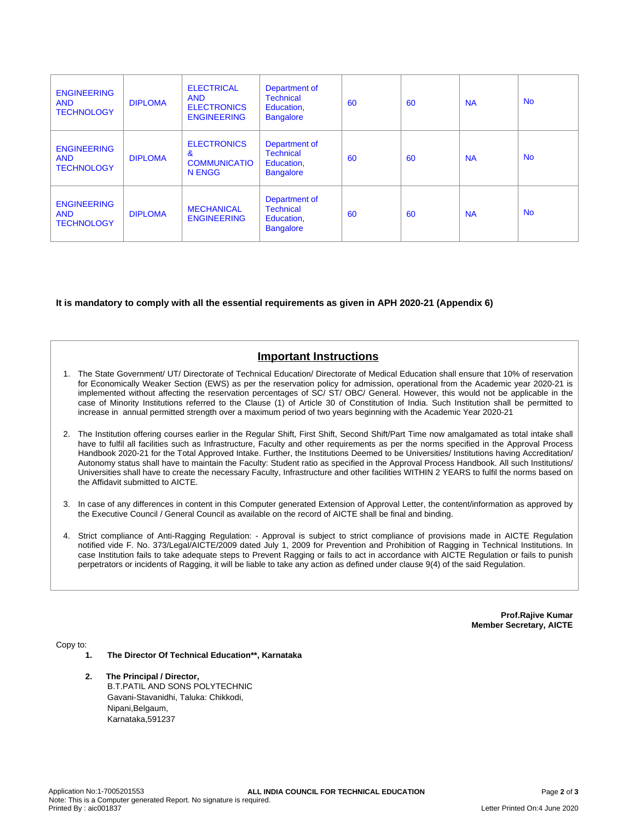| <b>ENGINEERING</b><br><b>AND</b><br><b>TECHNOLOGY</b> | <b>DIPLOMA</b> | <b>ELECTRICAL</b><br><b>AND</b><br><b>ELECTRONICS</b><br><b>ENGINEERING</b> | Department of<br><b>Technical</b><br>Education,<br><b>Bangalore</b> | 60 | 60 | <b>NA</b> | <b>No</b> |
|-------------------------------------------------------|----------------|-----------------------------------------------------------------------------|---------------------------------------------------------------------|----|----|-----------|-----------|
| <b>ENGINEERING</b><br><b>AND</b><br><b>TECHNOLOGY</b> | <b>DIPLOMA</b> | <b>ELECTRONICS</b><br>&<br><b>COMMUNICATIO</b><br><b>N ENGG</b>             | Department of<br><b>Technical</b><br>Education,<br><b>Bangalore</b> | 60 | 60 | <b>NA</b> | <b>No</b> |
| <b>ENGINEERING</b><br><b>AND</b><br><b>TECHNOLOGY</b> | <b>DIPLOMA</b> | <b>MECHANICAL</b><br><b>ENGINEERING</b>                                     | Department of<br><b>Technical</b><br>Education.<br><b>Bangalore</b> | 60 | 60 | <b>NA</b> | <b>No</b> |

#### **It is mandatory to comply with all the essential requirements as given in APH 2020-21 (Appendix 6)**

## **Important Instructions**

- 1. The State Government/ UT/ Directorate of Technical Education/ Directorate of Medical Education shall ensure that 10% of reservation for Economically Weaker Section (EWS) as per the reservation policy for admission, operational from the Academic year 2020-21 is implemented without affecting the reservation percentages of SC/ ST/ OBC/ General. However, this would not be applicable in the case of Minority Institutions referred to the Clause (1) of Article 30 of Constitution of India. Such Institution shall be permitted to increase in annual permitted strength over a maximum period of two years beginning with the Academic Year 2020-21
- 2. The Institution offering courses earlier in the Regular Shift, First Shift, Second Shift/Part Time now amalgamated as total intake shall have to fulfil all facilities such as Infrastructure, Faculty and other requirements as per the norms specified in the Approval Process Handbook 2020-21 for the Total Approved Intake. Further, the Institutions Deemed to be Universities/ Institutions having Accreditation/ Autonomy status shall have to maintain the Faculty: Student ratio as specified in the Approval Process Handbook. All such Institutions/ Universities shall have to create the necessary Faculty, Infrastructure and other facilities WITHIN 2 YEARS to fulfil the norms based on the Affidavit submitted to AICTE.
- 3. In case of any differences in content in this Computer generated Extension of Approval Letter, the content/information as approved by the Executive Council / General Council as available on the record of AICTE shall be final and binding.
- 4. Strict compliance of Anti-Ragging Regulation: Approval is subject to strict compliance of provisions made in AICTE Regulation notified vide F. No. 373/Legal/AICTE/2009 dated July 1, 2009 for Prevention and Prohibition of Ragging in Technical Institutions. In case Institution fails to take adequate steps to Prevent Ragging or fails to act in accordance with AICTE Regulation or fails to punish perpetrators or incidents of Ragging, it will be liable to take any action as defined under clause 9(4) of the said Regulation.

**Prof.Rajive Kumar Member Secretary, AICTE**

Copy to:

- **1. The Director Of Technical Education\*\*, Karnataka**
- **2. The Principal / Director,** B.T.PATIL AND SONS POLYTECHNIC Gavani-Stavanidhi, Taluka: Chikkodi, Nipani,Belgaum, Karnataka,591237